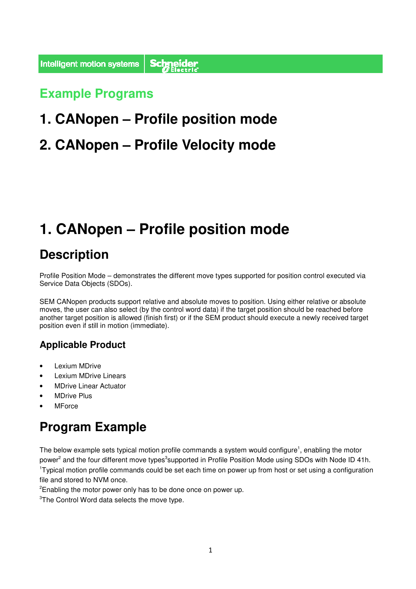# **Example Programs s**

# **1. CANopen – Profile position mode**

# **2. CANopen – Profile Velocity mode**

# **1. CANopen – Profile position mode**

### **Description**

Profile Position Mode – demonstrates the different move types supported for position control executed via Service Data Objects (SDOs).

SEM CANopen products support relative and absolute moves to position. Using either relative or absolute moves, the user can also select (by the control word data) if the target position should be reached before another target position is allowed (finish first) or if the SEM product should execute a newly received target position even if still in motion (immediate).

#### **Applicable Product**

- Lexium MDrive
- Lexium MDrive Linears
- MDrive Linear Actuator
- **MDrive Plus**
- **MForce**

### **Program Example**

The below example sets typical motion profile commands a system would configure<sup>1</sup>, enabling the motor power<sup>2</sup> and the four different move types<sup>3</sup>supported in Profile Position Mode using SDOs with Node ID 41h. <sup>1</sup>Typical motion profile commands could be set each time on power up from host or set using a configuration file and stored to NVM once.

<sup>2</sup>Enabling the motor power only has to be done once on power up.

<sup>3</sup>The Control Word data selects the move type.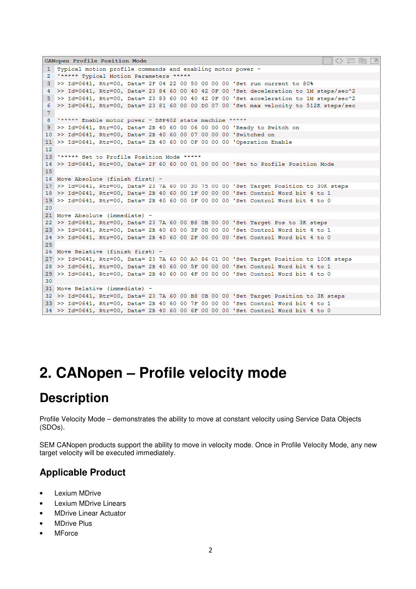```
CANopen Profile Position Mode
1 Typical motion profile commands and enabling motor power
     ***** Typical Motion Parameters *****
\mathfrak{D}3 >> Id=0641, Rtr=00, Data= 2F 04 22 00 50 00 00 00 'Set run current to 80%
4 >> Id=0641, Rtr=00, Data= 23 84 60 00 40 42 0F 00 'Set deceleration to 1M steps/sec^2
   >> Id=0641, Rtr=00, Data= 23 83 60 00 40 42 0F 00 'Set acceleration to 1M steps/sec^2
5<sup>1</sup>>> Id=0641, Rtr=00, Data= 23 81 60 00 00 00 07 00 'Set max velocity to 512K steps/sec
6
7^{\circ}"***** Enable motor power - DSP402 state machine *****
\mathbf{R}9 >> Id=0641, Rtr=00, Data= 2B 40 60 00 06 00 00 00 'Ready to Switch on
10 >> Id=0641, Rtr=00, Data= 2B 40 60 00 07 00 00 00 'Switched on
11 >> Id=0641, Rtr=00, Data= 2B 40 60 00 OF 00 00 00 'Operation Enable
1213 '***** Set to Profile Position Mode *****
14 >> Id=0641, Rtr=00, Data= 2F 60 60 00 01 00 00 00 'Set to Profile Position Mode
15
16 Move Absolute (finish first) -
17 >> Id=0641, Rtr=00, Data= 23 7A 60 00 30 75 00 00 'Set Target Position to 30K steps
18 >> Id=0641, Rtr=00, Data= 2B 40 60 00 1F 00 00 00 'Set Control Word bit 4 to 1
19 >> Id=0641, Rtr=00, Data= 2B 40 60 00 OF 00 00 00 'Set Control Word bit 4 to 0
2021 Move Absolute (immediate)
22 >> Id=0641, Rtr=00, Data= 23 7A 60 00 B8 0B 00 00 'Set Target Pos to 3K steps
23 >> Id=0641, Rtr=00, Data= 2B 40 60 00 3F 00 00 00 'Set Control Word bit 4 to 1
24 >> Id=0641, Rtr=00, Data= 2B 40 60 00 2F 00 00 00 'Set Control Word bit 4 to 0
25
26 Move Relative (finish first) -
27 >> Id=0641, Rtr=00, Data= 23 7A 60 00 A0 86 01 00 'Set Target Position to 100K steps
28 >> Id=0641, Rtr=00, Data= 2B 40 60 00 5F 00 00 00 'Set Control Word bit 4 to 1
29 >> Id=0641, Rtr=00, Data= 2B 40 60 00 4F 00 00 00 'Set Control Word bit 4 to 0
30
31 Move Relative (immediate) -
32 >> Id=0641, Rtr=00, Data= 23 7A 60 00 B8 0B 00 00 'Set Target Position to 3K steps
33 >> Id=0641, Rtr=00, Data= 2B 40 60 00 7F 00 00 00 'Set Control Word bit 4 to 1<br>34 >> Id=0641, Rtr=00, Data= 2B 40 60 00 6F 00 00 00 'Set Control Word bit 4 to 0
```
# **2. CANopen – Profile velocity mode**

#### **Description**

Profile Velocity Mode – demonstrates the ability to move at constant velocity using Service Data Objects (SDOs).

SEM CANopen products support the ability to move in velocity mode. Once in Profile Velocity Mode, any new target velocity will be executed immediately.

#### **Applicable Product**

- Lexium MDrive
- Lexium MDrive Linears
- MDrive Linear Actuator
- MDrive Plus
- **MForce**